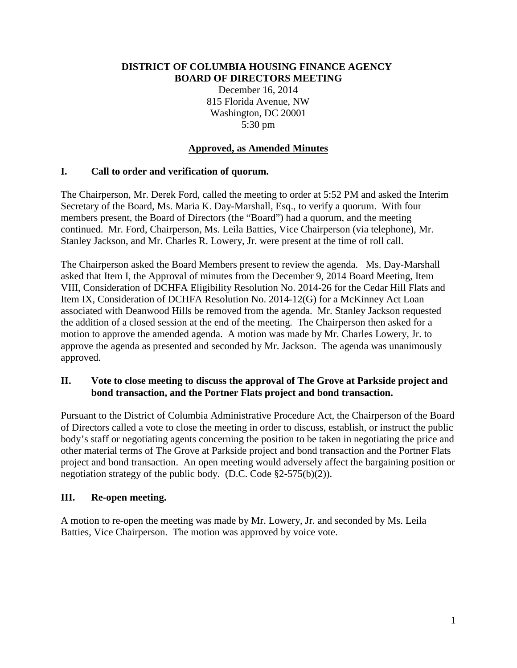#### **DISTRICT OF COLUMBIA HOUSING FINANCE AGENCY BOARD OF DIRECTORS MEETING**

December 16, 2014 815 Florida Avenue, NW Washington, DC 20001 5:30 pm

## **Approved, as Amended Minutes**

# **I. Call to order and verification of quorum.**

The Chairperson, Mr. Derek Ford, called the meeting to order at 5:52 PM and asked the Interim Secretary of the Board, Ms. Maria K. Day-Marshall, Esq., to verify a quorum. With four members present, the Board of Directors (the "Board") had a quorum, and the meeting continued. Mr. Ford, Chairperson, Ms. Leila Batties, Vice Chairperson (via telephone), Mr. Stanley Jackson, and Mr. Charles R. Lowery, Jr. were present at the time of roll call.

The Chairperson asked the Board Members present to review the agenda. Ms. Day-Marshall asked that Item I, the Approval of minutes from the December 9, 2014 Board Meeting, Item VIII, Consideration of DCHFA Eligibility Resolution No. 2014-26 for the Cedar Hill Flats and Item IX, Consideration of DCHFA Resolution No. 2014-12(G) for a McKinney Act Loan associated with Deanwood Hills be removed from the agenda. Mr. Stanley Jackson requested the addition of a closed session at the end of the meeting. The Chairperson then asked for a motion to approve the amended agenda. A motion was made by Mr. Charles Lowery, Jr. to approve the agenda as presented and seconded by Mr. Jackson. The agenda was unanimously approved.

#### **II. Vote to close meeting to discuss the approval of The Grove at Parkside project and bond transaction, and the Portner Flats project and bond transaction.**

Pursuant to the District of Columbia Administrative Procedure Act, the Chairperson of the Board of Directors called a vote to close the meeting in order to discuss, establish, or instruct the public body's staff or negotiating agents concerning the position to be taken in negotiating the price and other material terms of The Grove at Parkside project and bond transaction and the Portner Flats project and bond transaction. An open meeting would adversely affect the bargaining position or negotiation strategy of the public body. (D.C. Code §2-575(b)(2)).

## **III. Re-open meeting.**

A motion to re-open the meeting was made by Mr. Lowery, Jr. and seconded by Ms. Leila Batties, Vice Chairperson. The motion was approved by voice vote.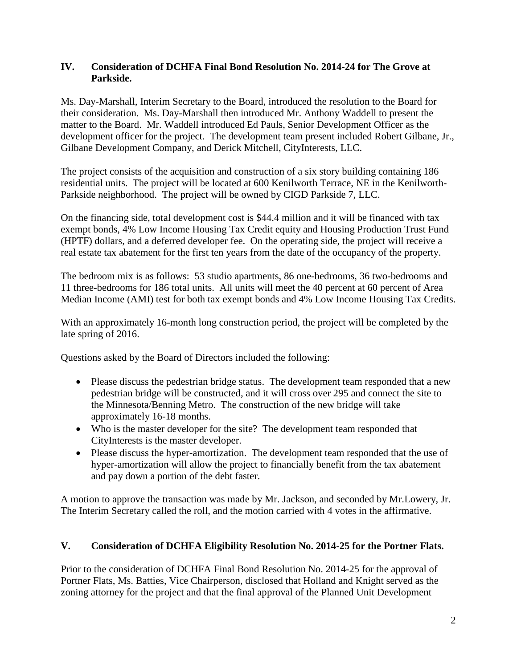## **IV. Consideration of DCHFA Final Bond Resolution No. 2014-24 for The Grove at Parkside.**

Ms. Day-Marshall, Interim Secretary to the Board, introduced the resolution to the Board for their consideration. Ms. Day-Marshall then introduced Mr. Anthony Waddell to present the matter to the Board. Mr. Waddell introduced Ed Pauls, Senior Development Officer as the development officer for the project. The development team present included Robert Gilbane, Jr., Gilbane Development Company, and Derick Mitchell, CityInterests, LLC.

The project consists of the acquisition and construction of a six story building containing 186 residential units. The project will be located at 600 Kenilworth Terrace, NE in the Kenilworth-Parkside neighborhood. The project will be owned by CIGD Parkside 7, LLC.

On the financing side, total development cost is \$44.4 million and it will be financed with tax exempt bonds, 4% Low Income Housing Tax Credit equity and Housing Production Trust Fund (HPTF) dollars, and a deferred developer fee. On the operating side, the project will receive a real estate tax abatement for the first ten years from the date of the occupancy of the property.

The bedroom mix is as follows: 53 studio apartments, 86 one-bedrooms, 36 two-bedrooms and 11 three-bedrooms for 186 total units. All units will meet the 40 percent at 60 percent of Area Median Income (AMI) test for both tax exempt bonds and 4% Low Income Housing Tax Credits.

With an approximately 16-month long construction period, the project will be completed by the late spring of 2016.

Questions asked by the Board of Directors included the following:

- Please discuss the pedestrian bridge status. The development team responded that a new pedestrian bridge will be constructed, and it will cross over 295 and connect the site to the Minnesota/Benning Metro. The construction of the new bridge will take approximately 16-18 months.
- Who is the master developer for the site? The development team responded that CityInterests is the master developer.
- Please discuss the hyper-amortization. The development team responded that the use of hyper-amortization will allow the project to financially benefit from the tax abatement and pay down a portion of the debt faster.

A motion to approve the transaction was made by Mr. Jackson, and seconded by Mr.Lowery, Jr. The Interim Secretary called the roll, and the motion carried with 4 votes in the affirmative.

## **V. Consideration of DCHFA Eligibility Resolution No. 2014-25 for the Portner Flats.**

Prior to the consideration of DCHFA Final Bond Resolution No. 2014-25 for the approval of Portner Flats, Ms. Batties, Vice Chairperson, disclosed that Holland and Knight served as the zoning attorney for the project and that the final approval of the Planned Unit Development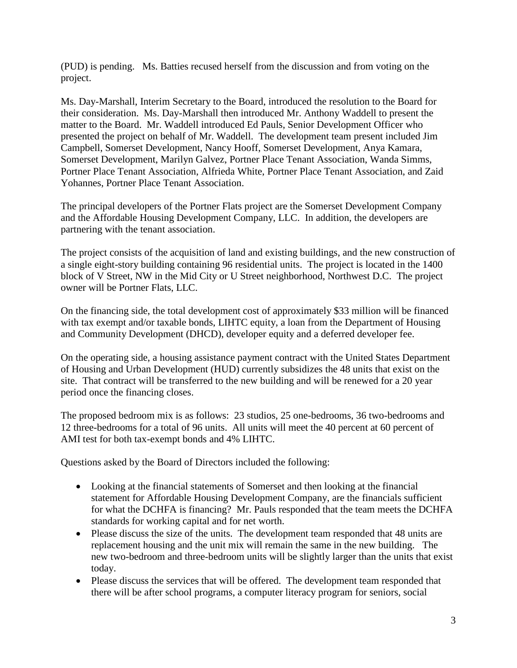(PUD) is pending. Ms. Batties recused herself from the discussion and from voting on the project.

Ms. Day-Marshall, Interim Secretary to the Board, introduced the resolution to the Board for their consideration. Ms. Day-Marshall then introduced Mr. Anthony Waddell to present the matter to the Board. Mr. Waddell introduced Ed Pauls, Senior Development Officer who presented the project on behalf of Mr. Waddell. The development team present included Jim Campbell, Somerset Development, Nancy Hooff, Somerset Development, Anya Kamara, Somerset Development, Marilyn Galvez, Portner Place Tenant Association, Wanda Simms, Portner Place Tenant Association, Alfrieda White, Portner Place Tenant Association, and Zaid Yohannes, Portner Place Tenant Association.

The principal developers of the Portner Flats project are the Somerset Development Company and the Affordable Housing Development Company, LLC. In addition, the developers are partnering with the tenant association.

The project consists of the acquisition of land and existing buildings, and the new construction of a single eight-story building containing 96 residential units. The project is located in the 1400 block of V Street, NW in the Mid City or U Street neighborhood, Northwest D.C. The project owner will be Portner Flats, LLC.

On the financing side, the total development cost of approximately \$33 million will be financed with tax exempt and/or taxable bonds, LIHTC equity, a loan from the Department of Housing and Community Development (DHCD), developer equity and a deferred developer fee.

On the operating side, a housing assistance payment contract with the United States Department of Housing and Urban Development (HUD) currently subsidizes the 48 units that exist on the site. That contract will be transferred to the new building and will be renewed for a 20 year period once the financing closes.

The proposed bedroom mix is as follows: 23 studios, 25 one-bedrooms, 36 two-bedrooms and 12 three-bedrooms for a total of 96 units. All units will meet the 40 percent at 60 percent of AMI test for both tax-exempt bonds and 4% LIHTC.

Questions asked by the Board of Directors included the following:

- Looking at the financial statements of Somerset and then looking at the financial statement for Affordable Housing Development Company, are the financials sufficient for what the DCHFA is financing? Mr. Pauls responded that the team meets the DCHFA standards for working capital and for net worth.
- Please discuss the size of the units. The development team responded that 48 units are replacement housing and the unit mix will remain the same in the new building. The new two-bedroom and three-bedroom units will be slightly larger than the units that exist today.
- Please discuss the services that will be offered. The development team responded that there will be after school programs, a computer literacy program for seniors, social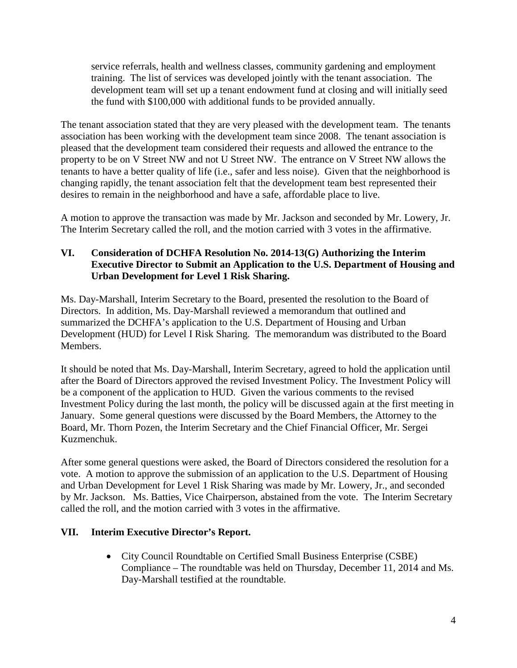service referrals, health and wellness classes, community gardening and employment training. The list of services was developed jointly with the tenant association. The development team will set up a tenant endowment fund at closing and will initially seed the fund with \$100,000 with additional funds to be provided annually.

The tenant association stated that they are very pleased with the development team. The tenants association has been working with the development team since 2008. The tenant association is pleased that the development team considered their requests and allowed the entrance to the property to be on V Street NW and not U Street NW. The entrance on V Street NW allows the tenants to have a better quality of life (i.e., safer and less noise). Given that the neighborhood is changing rapidly, the tenant association felt that the development team best represented their desires to remain in the neighborhood and have a safe, affordable place to live.

A motion to approve the transaction was made by Mr. Jackson and seconded by Mr. Lowery, Jr. The Interim Secretary called the roll, and the motion carried with 3 votes in the affirmative.

# **VI. Consideration of DCHFA Resolution No. 2014-13(G) Authorizing the Interim Executive Director to Submit an Application to the U.S. Department of Housing and Urban Development for Level 1 Risk Sharing.**

Ms. Day-Marshall, Interim Secretary to the Board, presented the resolution to the Board of Directors. In addition, Ms. Day-Marshall reviewed a memorandum that outlined and summarized the DCHFA's application to the U.S. Department of Housing and Urban Development (HUD) for Level I Risk Sharing. The memorandum was distributed to the Board Members.

It should be noted that Ms. Day-Marshall, Interim Secretary, agreed to hold the application until after the Board of Directors approved the revised Investment Policy. The Investment Policy will be a component of the application to HUD. Given the various comments to the revised Investment Policy during the last month, the policy will be discussed again at the first meeting in January. Some general questions were discussed by the Board Members, the Attorney to the Board, Mr. Thorn Pozen, the Interim Secretary and the Chief Financial Officer, Mr. Sergei Kuzmenchuk.

After some general questions were asked, the Board of Directors considered the resolution for a vote. A motion to approve the submission of an application to the U.S. Department of Housing and Urban Development for Level 1 Risk Sharing was made by Mr. Lowery, Jr., and seconded by Mr. Jackson. Ms. Batties, Vice Chairperson, abstained from the vote. The Interim Secretary called the roll, and the motion carried with 3 votes in the affirmative.

## **VII. Interim Executive Director's Report.**

• City Council Roundtable on Certified Small Business Enterprise (CSBE) Compliance – The roundtable was held on Thursday, December 11, 2014 and Ms. Day-Marshall testified at the roundtable.